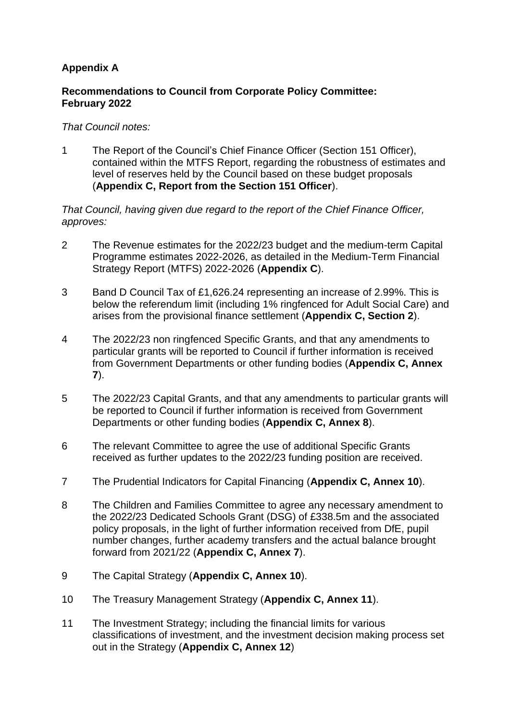## **Appendix A**

## **Recommendations to Council from Corporate Policy Committee: February 2022**

## *That Council notes:*

1 The Report of the Council's Chief Finance Officer (Section 151 Officer), contained within the MTFS Report, regarding the robustness of estimates and level of reserves held by the Council based on these budget proposals (**Appendix C, Report from the Section 151 Officer**).

*That Council, having given due regard to the report of the Chief Finance Officer, approves:*

- 2 The Revenue estimates for the 2022/23 budget and the medium-term Capital Programme estimates 2022-2026, as detailed in the Medium-Term Financial Strategy Report (MTFS) 2022-2026 (**Appendix C**).
- 3 Band D Council Tax of £1,626.24 representing an increase of 2.99%. This is below the referendum limit (including 1% ringfenced for Adult Social Care) and arises from the provisional finance settlement (**Appendix C, Section 2**).
- 4 The 2022/23 non ringfenced Specific Grants, and that any amendments to particular grants will be reported to Council if further information is received from Government Departments or other funding bodies (**Appendix C, Annex 7**).
- 5 The 2022/23 Capital Grants, and that any amendments to particular grants will be reported to Council if further information is received from Government Departments or other funding bodies (**Appendix C, Annex 8**).
- 6 The relevant Committee to agree the use of additional Specific Grants received as further updates to the 2022/23 funding position are received.
- 7 The Prudential Indicators for Capital Financing (**Appendix C, Annex 10**).
- 8 The Children and Families Committee to agree any necessary amendment to the 2022/23 Dedicated Schools Grant (DSG) of £338.5m and the associated policy proposals, in the light of further information received from DfE, pupil number changes, further academy transfers and the actual balance brought forward from 2021/22 (**Appendix C, Annex 7**).
- 9 The Capital Strategy (**Appendix C, Annex 10**).
- 10 The Treasury Management Strategy (**Appendix C, Annex 11**).
- 11 The Investment Strategy; including the financial limits for various classifications of investment, and the investment decision making process set out in the Strategy (**Appendix C, Annex 12**)